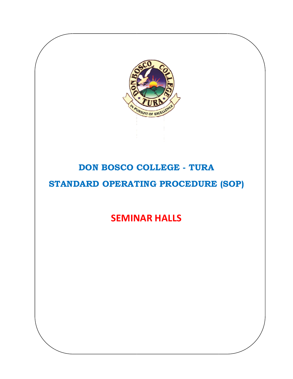

# DON BOSCO COLLEGE - TURA

## STANDARD OPERATING PROCEDURE (SOP)

**SEMINAR HALLS**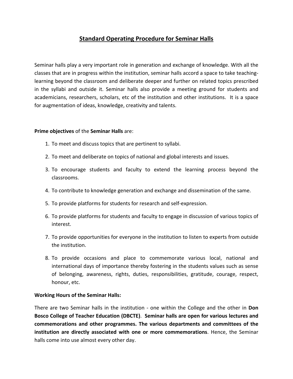### **Standard Operating Procedure for Seminar Halls**

Seminar halls play a very important role in generation and exchange of knowledge. With all the classes that are in progress within the institution, seminar halls accord a space to take teaching‐ learning beyond the classroom and deliberate deeper and further on related topics prescribed in the syllabi and outside it. Seminar halls also provide a meeting ground for students and academicians, researchers, scholars, etc of the institution and other institutions. It is a space for augmentation of ideas, knowledge, creativity and talents.

### **Prime objectives** of the **Seminar Halls** are:

- 1. To meet and discuss topics that are pertinent to syllabi.
- 2. To meet and deliberate on topics of national and global interests and issues.
- 3. To encourage students and faculty to extend the learning process beyond the classrooms.
- 4. To contribute to knowledge generation and exchange and dissemination of the same.
- 5. To provide platforms for students for research and self‐expression.
- 6. To provide platforms for students and faculty to engage in discussion of various topics of interest.
- 7. To provide opportunities for everyone in the institution to listen to experts from outside the institution.
- 8. To provide occasions and place to commemorate various local, national and international days of importance thereby fostering in the students values such as sense of belonging, awareness, rights, duties, responsibilities, gratitude, courage, respect, honour, etc.

### **Working Hours of the Seminar Halls:**

There are two Seminar halls in the institution ‐ one within the College and the other in **Don Bosco College of Teacher Education (DBCTE)**. **Seminar halls are open for various lectures and commemorations and other programmes. The various departments and committees of the institution are directly associated with one or more commemorations**. Hence, the Seminar halls come into use almost every other day.